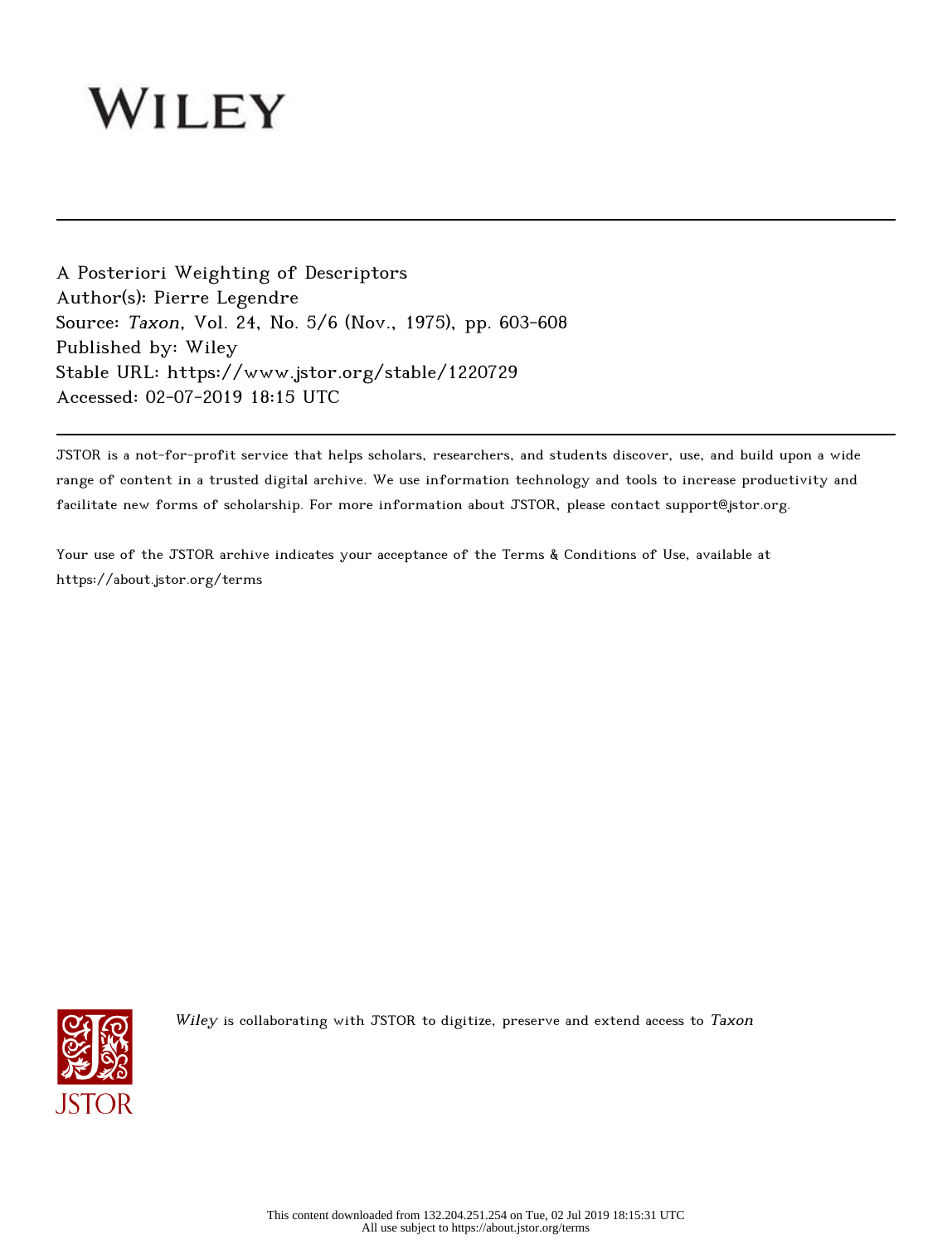# WILEY

A Posteriori Weighting of Descriptors Author(s): Pierre Legendre Source: Taxon, Vol. 24, No. 5/6 (Nov., 1975), pp. 603-608 Published by: Wiley Stable URL: https://www.jstor.org/stable/1220729 Accessed: 02-07-2019 18:15 UTC

JSTOR is a not-for-profit service that helps scholars, researchers, and students discover, use, and build upon a wide range of content in a trusted digital archive. We use information technology and tools to increase productivity and facilitate new forms of scholarship. For more information about JSTOR, please contact support@jstor.org.

Your use of the JSTOR archive indicates your acceptance of the Terms & Conditions of Use, available at https://about.jstor.org/terms



Wiley is collaborating with JSTOR to digitize, preserve and extend access to Taxon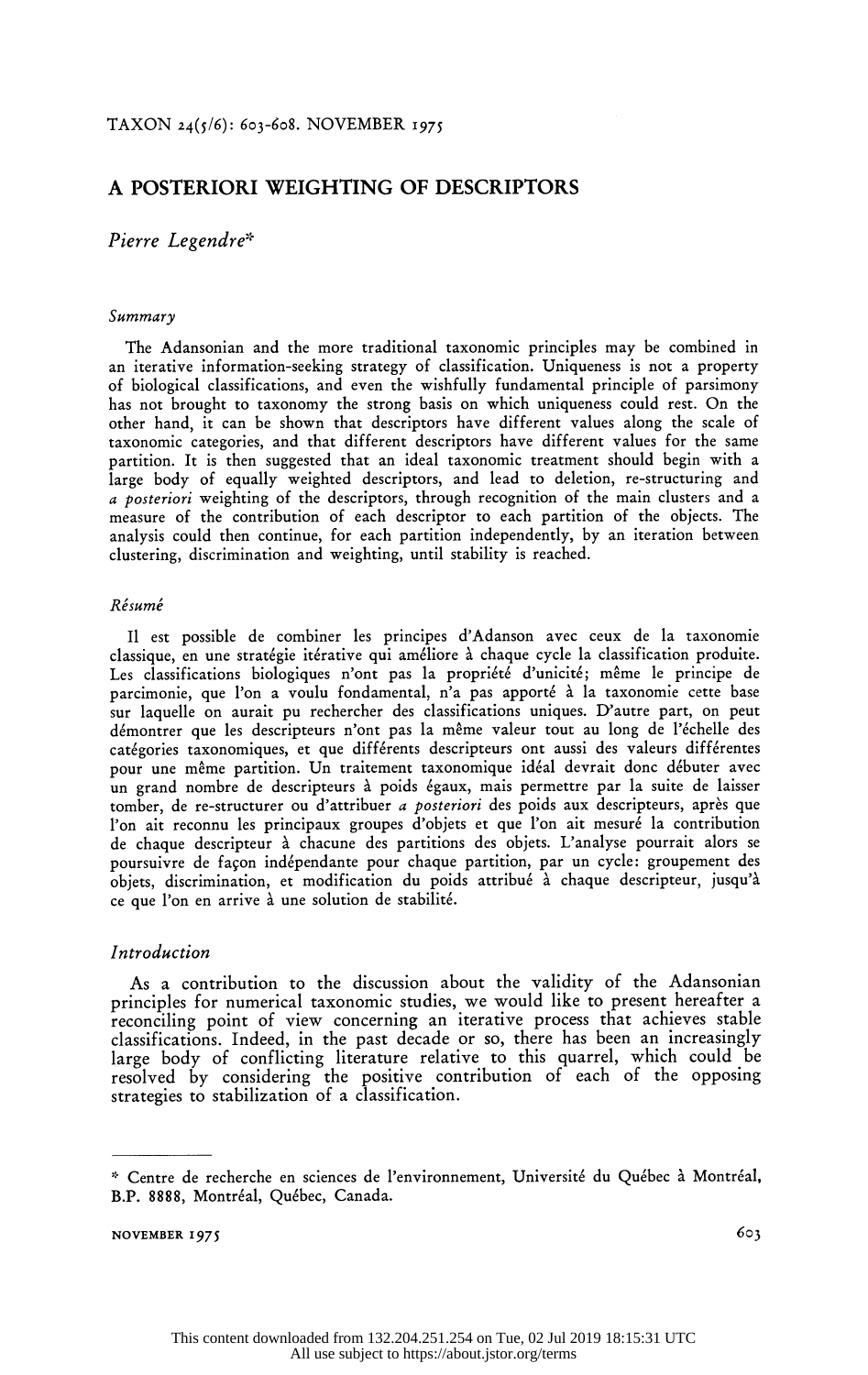## A POSTERIORI WEIGHTING OF DESCRIPTORS

## Pierre Legendre\*

#### Summary

 The Adansonian and the more traditional taxonomic principles may be combined in an iterative information-seeking strategy of classification. Uniqueness is not a property of biological classifications, and even the wishfully fundamental principle of parsimony has not brought to taxonomy the strong basis on which uniqueness could rest. On the other hand, it can be shown that descriptors have different values along the scale of taxonomic categories, and that different descriptors have different values for the same partition. It is then suggested that an ideal taxonomic treatment should begin with a large body of equally weighted descriptors, and lead to deletion, re-structuring and a posteriori weighting of the descriptors, through recognition of the main clusters and a measure of the contribution of each descriptor to each partition of the objects. The analysis could then continue, for each partition independently, by an iteration between clustering, discrimination and weighting, until stability is reached.

#### Résumé

 I1 est possible de combiner les principes d'Adanson avec ceux de la taxonomie classique, en une strategie iterative qui ameliore a chaque cycle la classification produite. Les classifications biologiques n'ont pas la propriete d'unicite; meme le principe de parcimonie, que l'on a voulu fondamental, n'a pas apporté à la taxonomie cette base sur laquelle on aurait pu rechercher des classifications uniques. D'autre part, on peut démontrer que les descripteurs n'ont pas la même valeur tout au long de l'échelle des categories taxonomiques, et que differents descripteurs ont aussi des valeurs differentes pour une même partition. Un traitement taxonomique idéal devrait donc débuter avec un grand nombre de descripteurs a poids egaux, mais permettre par la suite de laisser tomber, de re-structurer ou d'attribuer a posteriori des poids aux descripteurs, après que l'on ait reconnu les principaux groupes d'objets et que l'on ait mesuré la contribution de chaque descripteur à chacune des partitions des objets. L'analyse pourrait alors se poursuivre de facon independante pour chaque partition, par un cycle: groupement des objets, discrimination, et modification du poids attribué à chaque descripteur, jusqu'à ce que l'on en arrive à une solution de stabilité.

#### Introduction

 As a contribution to the discussion about the validity of the Adansonian principles for numerical taxonomic studies, we would like to present hereafter a reconciling point of view concerning an iterative process that achieves stable classifications. Indeed, in the past decade or so, there has been an increasingly large body of conflicting literature relative to this quarrel, which could be resolved by considering the positive contribution of each of the opposing strategies to stabilization of a classification.

 <sup>:</sup> Centre de recherche en sciences de l'environnement, Universite du Quebec a Montreal, B.P. 8888, Montréal, Québec, Canada.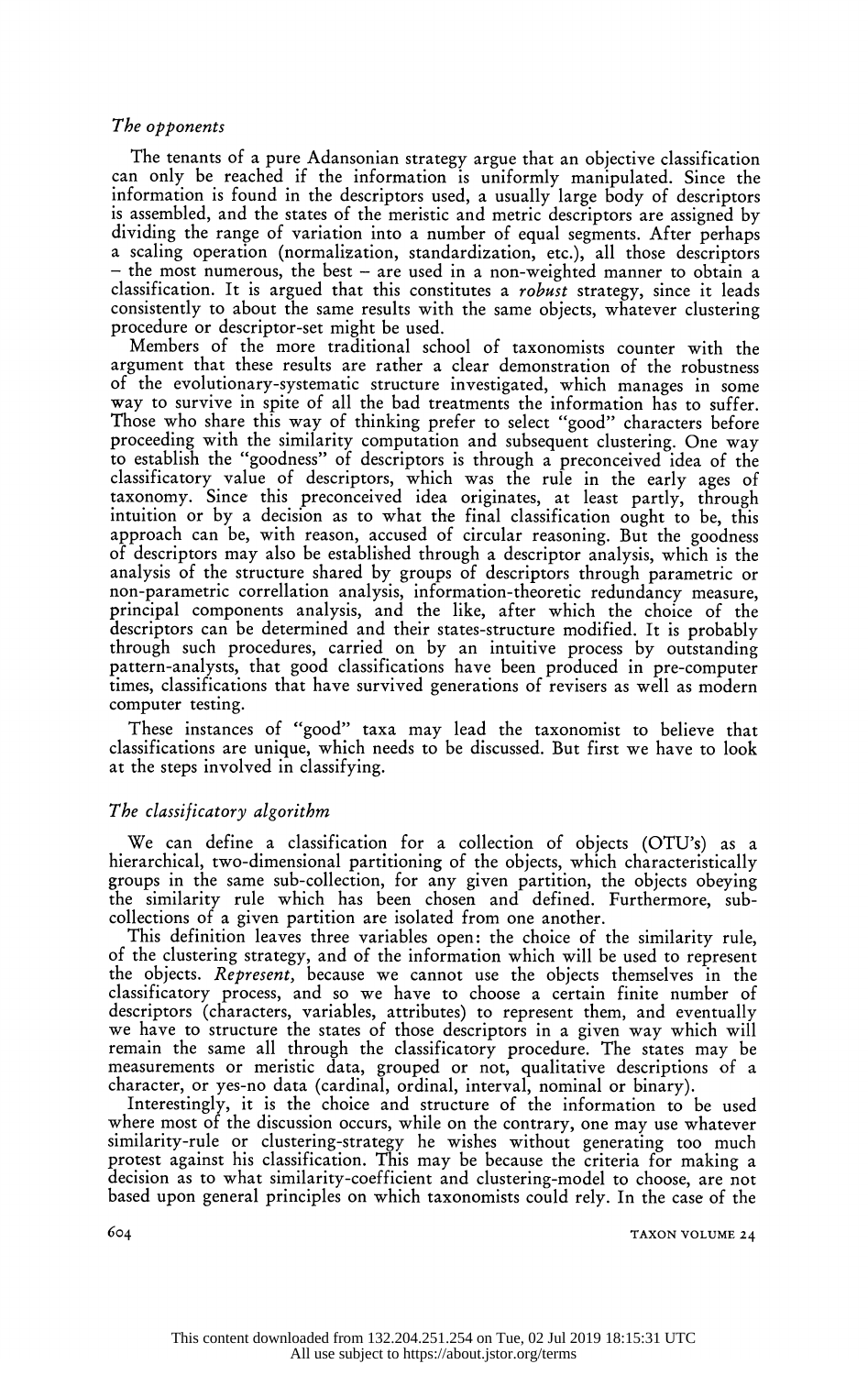## The opponents

 The tenants of a pure Adansonian strategy argue that an objective classification can only be reached if the information is uniformly manipulated. Since the information is found in the descriptors used, a usually large body of descriptors is assembled, and the states of the meristic and metric descriptors are assigned by dividing the range of variation into a number of equal segments. After perhaps a scaling operation (normalization, standardization, etc.), all those descriptors - the most numerous, the best - are used in a non-weighted manner to obtain a classification. It is argued that this constitutes a robust strategy, since it leads consistently to about the same results with the same objects, whatever clustering procedure or descriptor-set might be used.

 Members of the more traditional school of taxonomists counter with the argument that these results are rather a clear demonstration of the robustness of the evolutionary-systematic structure investigated, which manages in some way to survive in spite of all the bad treatments the information has to suffer. Those who share this way of thinking prefer to select "good" characters before proceeding with the similarity computation and subsequent clustering. One way to establish the "goodness" of descriptors is through a preconceived idea of the classificatory value of descriptors, which was the rule in the early ages of taxonomy. Since this preconceived idea originates, at least partly, through intuition or by a decision as to what the final classification ought to be, this approach can be, with reason, accused of circular reasoning. But the goodness of descriptors may also be established through a descriptor analysis, which is the analysis of the structure shared by groups of descriptors through parametric or non-parametric correllation analysis, information-theoretic redundancy measure, principal components analysis, and the like, after which the choice of the descriptors can be determined and their states-structure modified. It is probably descriptors can be determined and their states-structure modified. It is probably through such procedures, carried on by an intuitive process by outstanding pattern-analysts, that good classifications have been produced in pre-computer times, classifications that have survived generations of revisers as well as modern computer testing.

 These instances of "good" taxa may lead the taxonomist to believe that classifications are unique, which needs to be discussed. But first we have to look at the steps involved in classifying.

## The classificatory algorithm

 We can define a classification for a collection of objects (OTU's) as a hierarchical, two-dimensional partitioning of the objects, which characteristically groups in the same sub-collection, for any given partition, the objects obeying the similarity rule which has been chosen and defined. Furthermore, sub collections of a given partition are isolated from one another.

 This definition leaves three variables open: the choice of the similarity rule, of the clustering strategy, and of the information which will be used to represent the objects. Represent, because we cannot use the objects themselves in the classificatory process, and so we have to choose a certain finite number of descriptors (characters, variables, attributes) to represent them, and eventually we have to structure the states of those descriptors in a given way which will remain the same all through the classificatory procedure. The states may be measurements or meristic data, grouped or not, qualitative descriptions of a character, or yes-no data (cardinal, ordinal, interval, nominal or binary).

 Interestingly, it is the choice and structure of the information to be used where most of the discussion occurs, while on the contrary, one may use whatever similarity-rule or clustering-strategy he wishes without generating too much protest against his classification. This may be because the criteria for making a decision as to what similarity-coefficient and clustering-model to choose, are not based upon general principles on which taxonomists could rely. In the case of the

604 TAXON VOLUME 24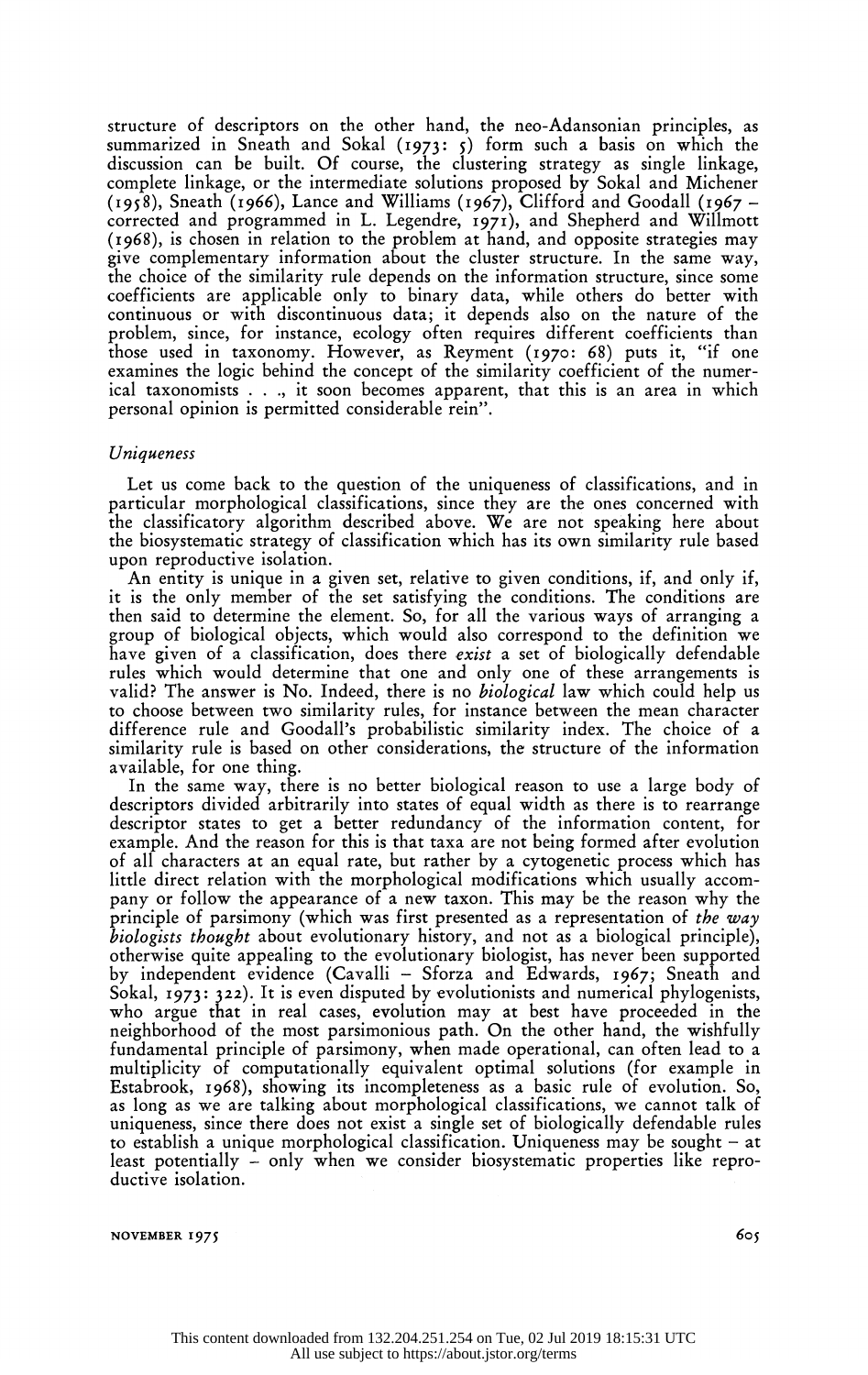structure of descriptors on the other hand, the neo-Adansonian principles, as summarized in Sneath and Sokal (1973: 5) form such a basis on which the discussion can be built. Of course, the clustering strategy as single linkage, complete linkage, or the intermediate solutions proposed by Sokal and Michener (I958), Sneath (1966), Lance and Williams (1967), Clifford and Goodall (1967 corrected and programmed in L. Legendre, 1971), and Shepherd and Willmott (1968), is chosen in relation to the problem at hand, and opposite strategies may give complementary information about the cluster structure. In the same way, the choice of the similarity rule depends on the information structure, since some coefficients are applicable only to binary data, while others do better with continuous or with discontinuous data; it depends also on the nature of the problem, since, for instance, ecology often requires different coefficients than those used in taxonomy. However, as Reyment (1970: 68) puts it, "if one examines the logic behind the concept of the similarity coefficient of the numer ical taxonomists . . ., it soon becomes apparent, that this is an area in which personal opinion is permitted considerable rein".

## Uniqueness

 Let us come back to the question of the uniqueness of classifications, and in particular morphological classifications, since they are the ones concerned with the classificatory algorithm described above. We are not speaking here about the biosystematic strategy of classification which has its own similarity rule based upon reproductive isolation.

 An entity is unique in a given set, relative to given conditions, if, and only if, it is the only member of the set satisfying the conditions. The conditions are then said to determine the element. So, for all the various ways of arranging a group of biological objects, which would also correspond to the definition we have given of a classification, does there *exist* a set of biologically defendable rules which would determine that one and only one of these arrangements is valid? The answer is No. Indeed, there is no *biological* law which could help us to choose between two similarity rules, for instance between the mean character difference rule and Goodall's probabilistic similarity index. The choice of a similarity rule is based on other considerations, the structure of the information available, for one thing.

 In the same way, there is no better biological reason to use a large body of descriptors divided arbitrarily into states of equal width as there is to rearrange descriptor states to get a better redundancy of the information content, for example. And the reason for this is that taxa are not being formed after evolution of all characters at an equal rate, but rather by a cytogenetic process which has little direct relation with the morphological modifications which usually accom pany or follow the appearance of a new taxon. This may be the reason why the principle of parsimony (which was first presented as a representation of the way biologists thought about evolutionary history, and not as a biological principle), otherwise quite appealing to the evolutionary biologist, has never been supported by independent evidence (Cavalli - Sforza and Edwards, 1967; Sneath and Sokal, 1973: 322). It is even disputed by evolutionists and numerical phylogenists, who argue that in real cases, evolution may at best have proceeded in the neighborhood of the most parsimonious path. On the other hand, the wishfully fundamental principle of parsimony, when made operational, can often lead to a multiplicity of computationally equivalent optimal solutions (for example in Estabrook, 1968), showing its incompleteness as a basic rule of evolution. So, as long as we are talking about morphological classifications, we cannot talk of uniqueness, since there does not exist a single set of biologically defendable rules to establish a unique morphological classification. Uniqueness may be sought - at least potentially - only when we consider biosystematic properties like reproductive isolation.

NOVEMBER 1975 605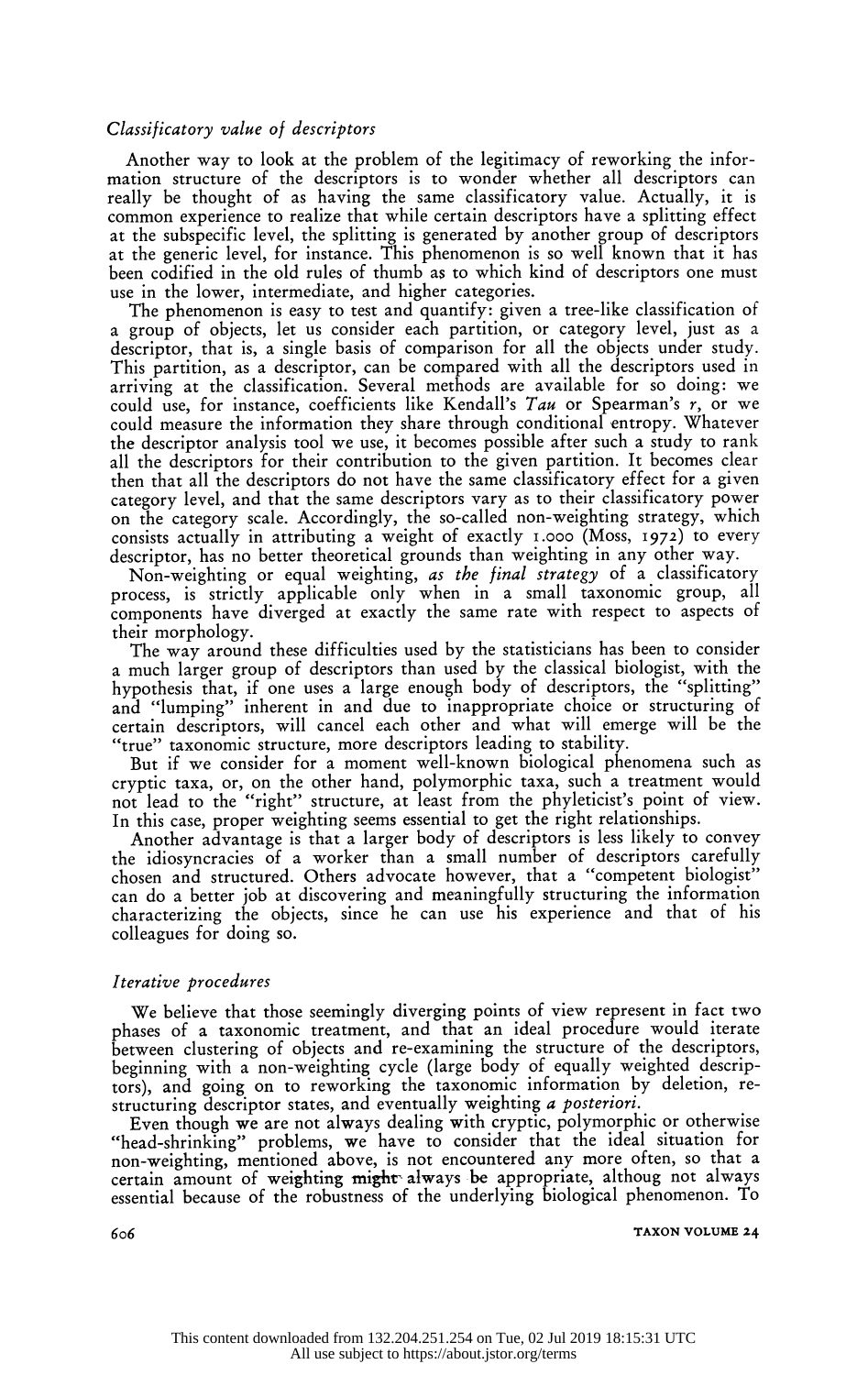## Classificatory value of descriptors

 Another way to look at the problem of the legitimacy of reworking the infor mation structure of the descriptors is to wonder whether all descriptors can really be thought of as having the same classificatory value. Actually, it is common experience to realize that while certain descriptors have a splitting effect at the subspecific level, the splitting is generated by another group of descriptors at the generic level, for instance. This phenomenon is so well known that it has been codified in the old rules of thumb as to which kind of descriptors one must use in the lower, intermediate, and higher categories.

 The phenomenon is easy to test and quantify: given a tree-like classification of a group of objects, let us consider each partition, or category level, just as a descriptor, that is, a single basis of comparison for all the objects under study. I his partition, as a descriptor, can be compared with all the descriptors used in arriving at the classification. Several methods are available for so doing: we could use, for instance, coefficients like Kendall's Tau or Spearman's r, or we could measure the information they share through conditional entropy. Whatever the descriptor analysis tool we use, it becomes possible after such a study to rank all the descriptors for their contribution to the given partition. It becomes clear then that all the descriptors do not have the same classificatory effect for a given category level, and that the same descriptors vary as to their classificatory power on the category scale. Accordingly, the so-called non-weighting strategy, which consists actually in attributing a weight of exactly i.ooo (Moss, I972) to every descriptor, has no better theoretical grounds than weighting in any other way.

 Non-weighting or equal weighting, as the final strategy of a classificatory process, is strictly applicable only when in a small taxonomic group, all components have diverged at exactly the same rate with respect to aspects of their morphology.

 The way around these difficulties used by the statisticians has been to consider a much larger group of descriptors than used by the classical biologist, with the hypothesis that, if one uses a large enough body of descriptors, the "splitting" and "lumping" inherent in and due to inappropriate choice or structuring of certain descriptors, will cancel each other and what will emerge will be the "true" taxonomic structure, more descriptors leading to stability.

 But if we consider for a moment well-known biological phenomena such as cryptic taxa, or, on the other hand, polymorphic taxa, such a treatment would not lead to the "right" structure, at least from the phyleticist's point of view. In this case, proper weighting seems essential to get the right relationships.

 Another advantage is that a larger body of descriptors is less likely to convey the idiosyncracies of a worker than a small number of descriptors carefully chosen and structured. Others advocate however, that a "competent biologist" can do a better job at discovering and meaningfully structuring the information characterizing the objects, since he can use his experience and that of his colleagues for doing so.

## Iterative procedures

 We believe that those seemingly diverging points of view represent in fact two phases of a taxonomic treatment, and that an ideal procedure would iterate between clustering of objects and re-examining the structure of the descriptors, beginning with a non-weighting cycle (large body of equally weighted descrip tors), and going on to reworking the taxonomic information by deletion, re structuring descriptor states, and eventually weighting a posteriori.

 Even though we are not always dealing with cryptic, polymorphic or otherwise "head-shrinking" problems, we have to consider that the ideal situation for non-weighting, mentioned above, is not encountered any more often, so that a certain amount of weighting might always be appropriate, althoug not always essential because of the robustness of the underlying biological phenomenon. To

606 TAXON VOLUME 24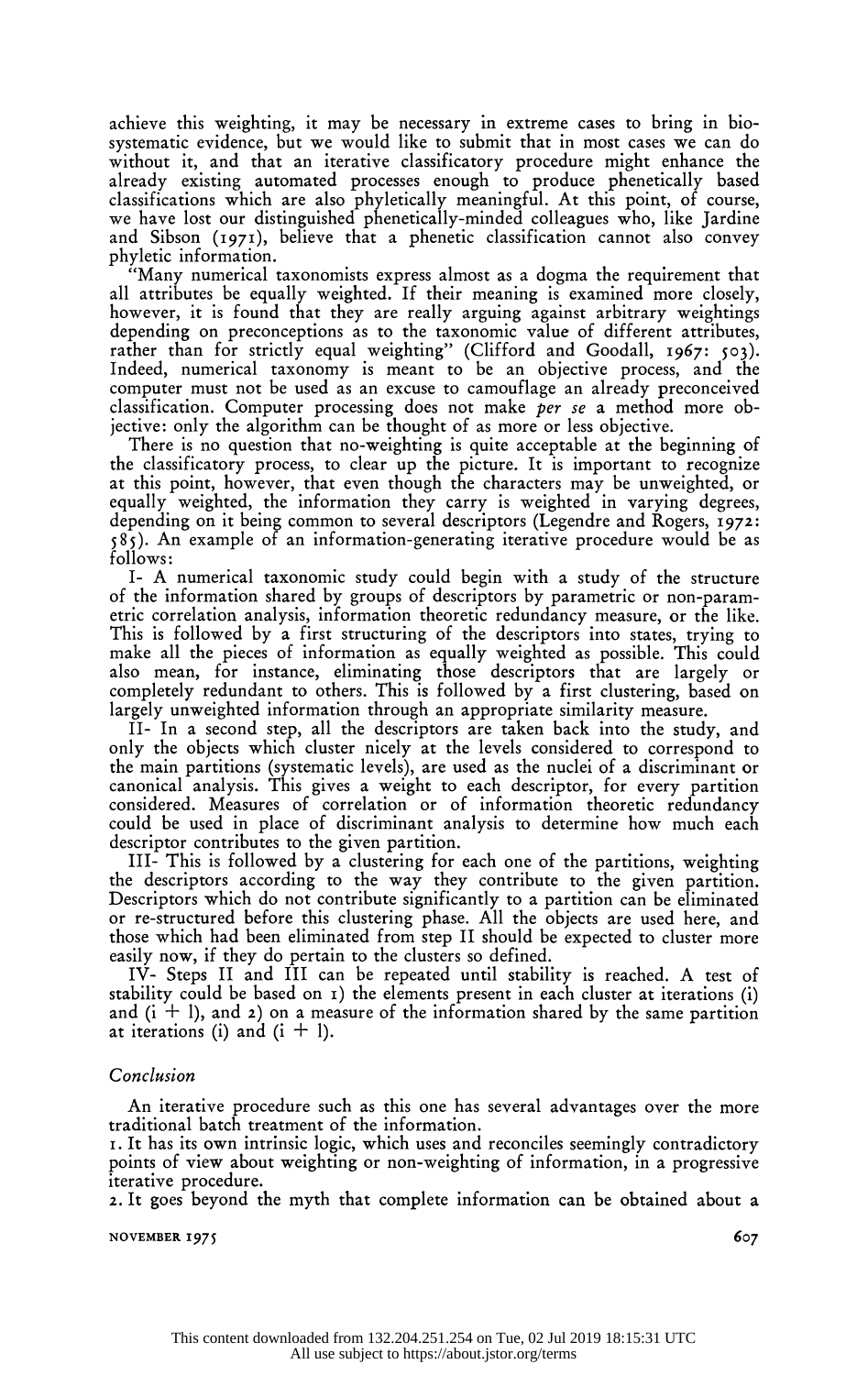achieve this weighting, it may be necessary in extreme cases to bring in bio systematic evidence, but we would like to submit that in most cases we can do without it, and that an iterative classificatory procedure might enhance the already existing automated processes enough to produce phenetically based classifications which are also phyletically meaningful. At this point, of course, we have lost our distinguished phenetically-minded colleagues who, like Jardine and Sibson (1971), believe that a phenetic classification cannot also convey phyletic information.

 "Many numerical taxonomists express almost as a dogma the requirement that all attributes be equally weighted. If their meaning is examined more closely, however, it is found that they are really arguing against arbitrary weightings depending on preconceptions as to the taxonomic value of different attributes, rather than for strictly equal weighting" (Clifford and Goodall, I967: 503). Indeed, numerical taxonomy is meant to be an objective process, and the computer must not be used as an excuse to camouflage an already preconceived classification. Computer processing does not make *per se* a method more objective: only the algorithm can be thought of as more or less objective.

 There is no question that no-weighting is quite acceptable at the beginning of the classificatory process, to clear up the picture. It is important to recognize at this point, however, that even though the characters may be unweighted, or equally weighted, the information they carry is weighted in varying degrees depending on it being common to several descriptors (Legendre and Rogers, 1972: 585). An example of an information-generating iterative procedure would be as follows:

 I- A numerical taxonomic study could begin with a study of the structure of the information shared by groups of descriptors by parametric or non-param etric correlation analysis, information theoretic redundancy measure, or the like. This is followed by a first structuring of the descriptors into states, trying to make all the pieces of information as equally weighted as possible. This could also mean, for instance, eliminating those descriptors that are largely or completely redundant to others. This is followed by a first clustering, based on largely unweighted information through an appropriate similarity measure.

 II- In a second step, all the descriptors are taken back into the study, and only the objects which cluster nicely at the levels considered to correspond to the main partitions (systematic levels), are used as the nuclei of a discriminant or canonical analysis. This gives a weight to each descriptor, for every partition considered. Measures of correlation or of information theoretic redundancy could be used in place of discriminant analysis to determine how much each descriptor contributes to the given partition.

 III- This is followed by a clustering for each one of the partitions, weighting the descriptors according to the way they contribute to the given partition. Descriptors which do not contribute significantly to a partition can be eliminated or re-structured before this clustering phase. All the objects are used here, and those which had been eliminated from step II should be expected to cluster more easily now, if they do pertain to the clusters so defined.

 IV- Steps II and III can be repeated until stability is reached. A test of stability could be based on  $I$ ) the elements present in each cluster at iterations (i) and  $(i + 1)$ , and 2) on a measure of the information shared by the same partition at iterations (i) and  $(i + 1)$ .

## Conclusion

 An iterative procedure such as this one has several advantages over the more traditional batch treatment of the information.

 I. It has its own intrinsic logic, which uses and reconciles seemingly contradictory points of view about weighting or non-weighting of information, in a progressive iterative procedure.

2. It goes beyond the myth that complete information can be obtained about a

NOVEMBER 1975 607